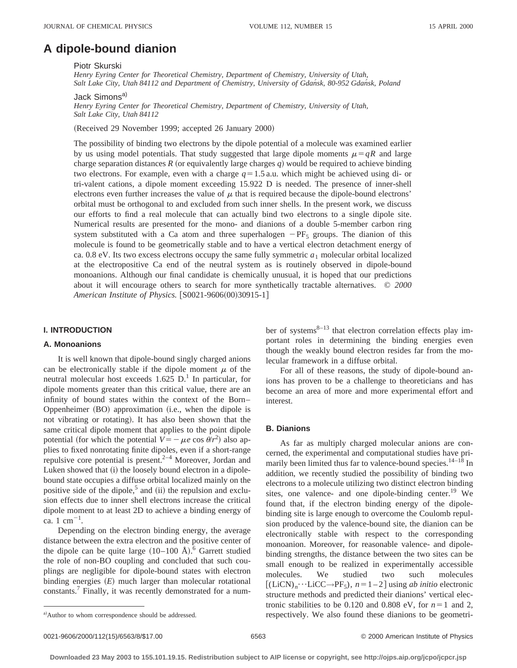# **A dipole-bound dianion**

#### Piotr Skurski

*Henry Eyring Center for Theoretical Chemistry, Department of Chemistry, University of Utah, Salt Lake City, Utah 84112 and Department of Chemistry, University of Gdan´sk, 80-952 Gdan´sk, Poland*

#### Jack Simons<sup>a)</sup>

*Henry Eyring Center for Theoretical Chemistry, Department of Chemistry, University of Utah, Salt Lake City, Utah 84112*

(Received 29 November 1999; accepted 26 January 2000)

The possibility of binding two electrons by the dipole potential of a molecule was examined earlier by us using model potentials. That study suggested that large dipole moments  $\mu=qR$  and large charge separation distances *R* (or equivalently large charges *q*) would be required to achieve binding two electrons. For example, even with a charge  $q=1.5$  a.u. which might be achieved using di- or tri-valent cations, a dipole moment exceeding 15.922 D is needed. The presence of inner-shell electrons even further increases the value of  $\mu$  that is required because the dipole-bound electrons' orbital must be orthogonal to and excluded from such inner shells. In the present work, we discuss our efforts to find a real molecule that can actually bind two electrons to a single dipole site. Numerical results are presented for the mono- and dianions of a double 5-member carbon ring system substituted with a Ca atom and three superhalogen  $-PF_5$  groups. The dianion of this molecule is found to be geometrically stable and to have a vertical electron detachment energy of ca. 0.8 eV. Its two excess electrons occupy the same fully symmetric  $a_1$  molecular orbital localized at the electropositive Ca end of the neutral system as is routinely observed in dipole-bound monoanions. Although our final candidate is chemically unusual, it is hoped that our predictions about it will encourage others to search for more synthetically tractable alternatives. © *2000 American Institute of Physics.* [S0021-9606(00)30915-1]

# **I. INTRODUCTION**

#### **A. Monoanions**

It is well known that dipole-bound singly charged anions can be electronically stable if the dipole moment  $\mu$  of the neutral molecular host exceeds  $1.625$  D.<sup>1</sup> In particular, for dipole moments greater than this critical value, there are an infinity of bound states within the context of the Born– Oppenheimer (BO) approximation (i.e., when the dipole is not vibrating or rotating). It has also been shown that the same critical dipole moment that applies to the point dipole potential (for which the potential  $V = -\mu e \cos \theta/r^2$ ) also applies to fixed nonrotating finite dipoles, even if a short-range repulsive core potential is present. $2-4$  Moreover, Jordan and Luken showed that (i) the loosely bound electron in a dipolebound state occupies a diffuse orbital localized mainly on the positive side of the dipole,<sup>5</sup> and  $(ii)$  the repulsion and exclusion effects due to inner shell electrons increase the critical dipole moment to at least 2D to achieve a binding energy of  $\text{ca. 1 cm}^{-1}$ .

Depending on the electron binding energy, the average distance between the extra electron and the positive center of the dipole can be quite large  $(10-100 \text{ Å})^6$  Garrett studied the role of non-BO coupling and concluded that such couplings are negligible for dipole-bound states with electron binding energies  $(E)$  much larger than molecular rotational constants.7 Finally, it was recently demonstrated for a number of systems $8-13$  that electron correlation effects play important roles in determining the binding energies even though the weakly bound electron resides far from the molecular framework in a diffuse orbital.

For all of these reasons, the study of dipole-bound anions has proven to be a challenge to theoreticians and has become an area of more and more experimental effort and interest.

#### **B. Dianions**

As far as multiply charged molecular anions are concerned, the experimental and computational studies have primarily been limited thus far to valence-bound species.<sup>14–18</sup> In addition, we recently studied the possibility of binding two electrons to a molecule utilizing two distinct electron binding sites, one valence- and one dipole-binding center.<sup>19</sup> We found that, if the electron binding energy of the dipolebinding site is large enough to overcome the Coulomb repulsion produced by the valence-bound site, the dianion can be electronically stable with respect to the corresponding monoanion. Moreover, for reasonable valence- and dipolebinding strengths, the distance between the two sites can be small enough to be realized in experimentally accessible molecules. We studied two such molecules  $[(LiCN)<sub>n</sub> \cdot \cdot \cdot LiCC \rightarrow PF<sub>5</sub>), n=1-2]$  using *ab initio* electronic structure methods and predicted their dianions' vertical electronic stabilities to be 0.120 and 0.808 eV, for  $n=1$  and 2, respectively. We also found these dianions to be geometri-

a) Author to whom correspondence should be addressed.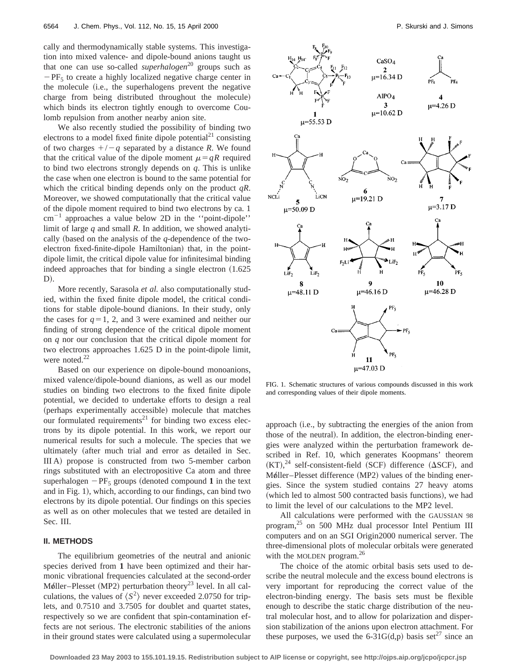cally and thermodynamically stable systems. This investigation into mixed valence- and dipole-bound anions taught us that one can use so-called *superhalogen*<sup>20</sup> groups such as  $-PF_5$  to create a highly localized negative charge center in the molecule (i.e., the superhalogens prevent the negative charge from being distributed throughout the molecule) which binds its electron tightly enough to overcome Coulomb repulsion from another nearby anion site.

We also recently studied the possibility of binding two electrons to a model fixed finite dipole potential<sup>21</sup> consisting of two charges  $+/-q$  separated by a distance *R*. We found that the critical value of the dipole moment  $\mu=qR$  required to bind two electrons strongly depends on *q*. This is unlike the case when one electron is bound to the same potential for which the critical binding depends only on the product *qR*. Moreover, we showed computationally that the critical value of the dipole moment required to bind two electrons by ca. 1  $cm^{-1}$  approaches a value below 2D in the "point-dipole" limit of large *q* and small *R*. In addition, we showed analytically (based on the analysis of the  $q$ -dependence of the twoelectron fixed-finite-dipole Hamiltonian) that, in the pointdipole limit, the critical dipole value for infinitesimal binding indeed approaches that for binding a single electron  $(1.625$  $D$ ).

More recently, Sarasola *et al.* also computationally studied, within the fixed finite dipole model, the critical conditions for stable dipole-bound dianions. In their study, only the cases for  $q=1, 2$ , and 3 were examined and neither our finding of strong dependence of the critical dipole moment on *q* nor our conclusion that the critical dipole moment for two electrons approaches 1.625 D in the point-dipole limit, were noted.<sup>22</sup>

Based on our experience on dipole-bound monoanions, mixed valence/dipole-bound dianions, as well as our model studies on binding two electrons to the fixed finite dipole potential, we decided to undertake efforts to design a real (perhaps experimentally accessible) molecule that matches our formulated requirements<sup>21</sup> for binding two excess electrons by its dipole potential. In this work, we report our numerical results for such a molecule. The species that we ultimately (after much trial and error as detailed in Sec.  $III A$ ) propose is constructed from two 5-member carbon rings substituted with an electropositive Ca atom and three superhalogen  $-PF_5$  groups (denoted compound 1 in the text and in Fig.  $1$ ), which, according to our findings, can bind two electrons by its dipole potential. Our findings on this species as well as on other molecules that we tested are detailed in Sec. III.

#### **II. METHODS**

The equilibrium geometries of the neutral and anionic species derived from **1** have been optimized and their harmonic vibrational frequencies calculated at the second-order Møller–Plesset (MP2) perturbation theory<sup>23</sup> level. In all calculations, the values of  $\langle S^2 \rangle$  never exceeded 2.0750 for triplets, and 0.7510 and 3.7505 for doublet and quartet states, respectively so we are confident that spin-contamination effects are not serious. The electronic stabilities of the anions in their ground states were calculated using a supermolecular



FIG. 1. Schematic structures of various compounds discussed in this work and corresponding values of their dipole moments.

approach (i.e., by subtracting the energies of the anion from those of the neutral). In addition, the electron-binding energies were analyzed within the perturbation framework described in Ref. 10, which generates Koopmans' theorem  $(KT),^{24}$  self-consistent-field (SCF) difference ( $\Delta$ SCF), and Møller–Plesset difference (MP2) values of the binding energies. Since the system studied contains 27 heavy atoms (which led to almost 500 contracted basis functions), we had to limit the level of our calculations to the MP2 level.

All calculations were performed with the GAUSSIAN 98 program,25 on 500 MHz dual processor Intel Pentium III computers and on an SGI Origin2000 numerical server. The three-dimensional plots of molecular orbitals were generated with the MOLDEN program.<sup>26</sup>

The choice of the atomic orbital basis sets used to describe the neutral molecule and the excess bound electrons is very important for reproducing the correct value of the electron-binding energy. The basis sets must be flexible enough to describe the static charge distribution of the neutral molecular host, and to allow for polarization and dispersion stabilization of the anions upon electron attachment. For these purposes, we used the 6-31G(d,p) basis set<sup>27</sup> since an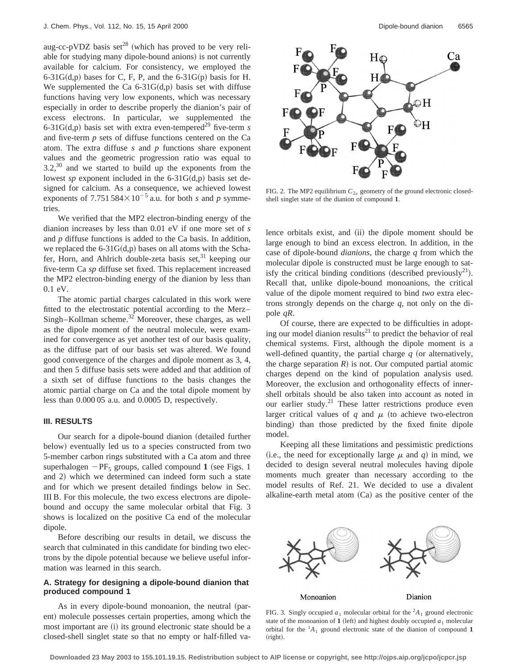aug-cc-pVDZ basis set<sup>28</sup> (which has proved to be very reliable for studying many dipole-bound anions) is not currently available for calcium. For consistency, we employed the  $6-31G(d,p)$  bases for C, F, P, and the 6-31G(p) basis for H. We supplemented the Ca  $6-31G(d,p)$  basis set with diffuse functions having very low exponents, which was necessary especially in order to describe properly the dianion's pair of excess electrons. In particular, we supplemented the 6-31G(d,p) basis set with extra even-tempered<sup>29</sup> five-term *s* and five-term *p* sets of diffuse functions centered on the Ca atom. The extra diffuse *s* and *p* functions share exponent values and the geometric progression ratio was equal to  $3.2<sup>30</sup>$  and we started to build up the exponents from the lowest *sp* exponent included in the  $6-31G(d,p)$  basis set designed for calcium. As a consequence, we achieved lowest exponents of 7.751 584 $\times$ 10<sup>-5</sup> a.u. for both *s* and *p* symmetries.

We verified that the MP2 electron-binding energy of the dianion increases by less than 0.01 eV if one more set of *s* and *p* diffuse functions is added to the Ca basis. In addition, we replaced the  $6-31G(d,p)$  bases on all atoms with the Schafer, Horn, and Ahlrich double-zeta basis set,  $31$  keeping our five-term Ca *sp* diffuse set fixed. This replacement increased the MP2 electron-binding energy of the dianion by less than 0.1 eV.

The atomic partial charges calculated in this work were fitted to the electrostatic potential according to the Merz– Singh–Kollman scheme. $32$  Moreover, these charges, as well as the dipole moment of the neutral molecule, were examined for convergence as yet another test of our basis quality, as the diffuse part of our basis set was altered. We found good convergence of the charges and dipole moment as 3, 4, and then 5 diffuse basis sets were added and that addition of a sixth set of diffuse functions to the basis changes the atomic partial charge on Ca and the total dipole moment by less than 0.000 05 a.u. and 0.0005 D, respectively.

# **III. RESULTS**

Our search for a dipole-bound dianion (detailed further below) eventually led us to a species constructed from two 5-member carbon rings substituted with a Ca atom and three superhalogen  $-PF_5$  groups, called compound **1** (see Figs. 1) and 2) which we determined can indeed form such a state and for which we present detailed findings below in Sec. III B. For this molecule, the two excess electrons are dipolebound and occupy the same molecular orbital that Fig. 3 shows is localized on the positive Ca end of the molecular dipole.

Before describing our results in detail, we discuss the search that culminated in this candidate for binding two electrons by the dipole potential because we believe useful information was learned in this search.

#### **A. Strategy for designing a dipole-bound dianion that produced compound 1**

As in every dipole-bound monoanion, the neutral (parent) molecule possesses certain properties, among which the most important are (i) its ground electronic state should be a closed-shell singlet state so that no empty or half-filled va-



FIG. 2. The MP2 equilibrium  $C_{2v}$  geometry of the ground electronic closedshell singlet state of the dianion of compound **1**.

lence orbitals exist, and  $(ii)$  the dipole moment should be large enough to bind an excess electron. In addition, in the case of dipole-bound *dianions*, the charge *q* from which the molecular dipole is constructed must be large enough to satisfy the critical binding conditions (described previously<sup>21</sup>). Recall that, unlike dipole-bound monoanions, the critical value of the dipole moment required to bind *two* extra electrons strongly depends on the charge *q*, not only on the dipole *qR*.

Of course, there are expected to be difficulties in adopting our model dianion results<sup>21</sup> to predict the behavior of real chemical systems. First, although the dipole moment is a well-defined quantity, the partial charge  $q$  (or alternatively, the charge separation  $R$ ) is not. Our computed partial atomic charges depend on the kind of population analysis used. Moreover, the exclusion and orthogonality effects of innershell orbitals should be also taken into account as noted in our earlier study.<sup>21</sup> These latter restrictions produce even larger critical values of  $q$  and  $\mu$  (to achieve two-electron binding) than those predicted by the fixed finite dipole model.

Keeping all these limitations and pessimistic predictions (i.e., the need for exceptionally large  $\mu$  and  $q$ ) in mind, we decided to design several neutral molecules having dipole moments much greater than necessary according to the model results of Ref. 21. We decided to use a divalent alkaline-earth metal atom  $(Ca)$  as the positive center of the



FIG. 3. Singly occupied  $a_1$  molecular orbital for the <sup>2</sup> $A_1$  ground electronic state of the monoanion of **1** (left) and highest doubly occupied  $a_1$  molecular orbital for the  ${}^{1}A_1$  ground electronic state of the dianion of compound 1  $(right).$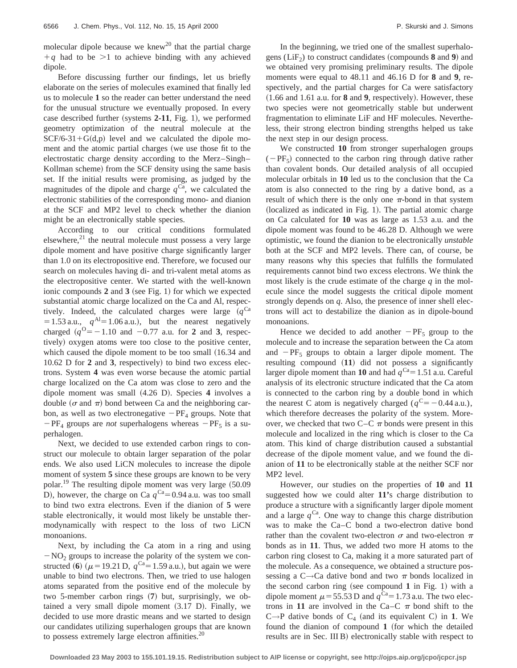molecular dipole because we knew<sup>20</sup> that the partial charge  $+q$  had to be  $>1$  to achieve binding with any achieved dipole.

Before discussing further our findings, let us briefly elaborate on the series of molecules examined that finally led us to molecule **1** so the reader can better understand the need for the unusual structure we eventually proposed. In every case described further (systems  $2-11$ , Fig. 1), we performed geometry optimization of the neutral molecule at the  $SCF/6-31+G(d,p)$  level and we calculated the dipole moment and the atomic partial charges (we use those fit to the electrostatic charge density according to the Merz–Singh– Kollman scheme) from the SCF density using the same basis set. If the initial results were promising, as judged by the magnitudes of the dipole and charge  $q^{Ca}$ , we calculated the electronic stabilities of the corresponding mono- and dianion at the SCF and MP2 level to check whether the dianion might be an electronically stable species.

According to our critical conditions formulated elsewhere, $21$  the neutral molecule must possess a very large dipole moment and have positive charge significantly larger than 1.0 on its electropositive end. Therefore, we focused our search on molecules having di- and tri-valent metal atoms as the electropositive center. We started with the well-known ionic compounds  $2$  and  $3$  (see Fig. 1) for which we expected substantial atomic charge localized on the Ca and Al, respectively. Indeed, the calculated charges were large  $(q^{Ca})$  $= 1.53$  a.u.,  $q^{Al} = 1.06$  a.u.), but the nearest negatively charged  $(q^{0} = -1.10$  and  $-0.77$  a.u. for **2** and **3**, respectively) oxygen atoms were too close to the positive center, which caused the dipole moment to be too small  $(16.34)$  and 10.62 D for 2 and 3, respectively) to bind two excess electrons. System **4** was even worse because the atomic partial charge localized on the Ca atom was close to zero and the dipole moment was small  $(4.26 \text{ D})$ . Species 4 involves a double ( $\sigma$  and  $\pi$ ) bond between Ca and the neighboring carbon, as well as two electronegative  $-PF_4$  groups. Note that  $-PF_4$  groups are *not* superhalogens whereas  $-PF_5$  is a superhalogen.

Next, we decided to use extended carbon rings to construct our molecule to obtain larger separation of the polar ends. We also used LiCN molecules to increase the dipole moment of system **5** since these groups are known to be very polar.<sup>19</sup> The resulting dipole moment was very large  $(50.09)$ D), however, the charge on Ca  $q^{Ca} = 0.94$  a.u. was too small to bind two extra electrons. Even if the dianion of **5** were stable electronically, it would most likely be unstable thermodynamically with respect to the loss of two LiCN monoanions.

Next, by including the Ca atom in a ring and using  $-NO<sub>2</sub>$  groups to increase the polarity of the system we constructed (6) ( $\mu$  = 19.21 D, *q*<sup>Ca</sup>=1.59 a.u.), but again we were unable to bind two electrons. Then, we tried to use halogen atoms separated from the positive end of the molecule by two 5-member carbon rings  $(7)$  but, surprisingly, we obtained a very small dipole moment  $(3.17 \text{ D})$ . Finally, we decided to use more drastic means and we started to design our candidates utilizing superhalogen groups that are known to possess extremely large electron affinities. $20$ 

In the beginning, we tried one of the smallest superhalogens ( $LiF<sub>2</sub>$ ) to construct candidates (compounds  $8$  and  $9$ ) and we obtained very promising preliminary results. The dipole moments were equal to 48.11 and 46.16 D for **8** and **9**, respectively, and the partial charges for Ca were satisfactory  $(1.66$  and  $1.61$  a.u. for  $\bf{8}$  and  $\bf{9}$ , respectively). However, these two species were not geometrically stable but underwent fragmentation to eliminate LiF and HF molecules. Nevertheless, their strong electron binding strengths helped us take the next step in our design process.

We constructed **10** from stronger superhalogen groups  $(-PF_5)$  connected to the carbon ring through dative rather than covalent bonds. Our detailed analysis of all occupied molecular orbitals in **10** led us to the conclusion that the Ca atom is also connected to the ring by a dative bond, as a result of which there is the only one  $\pi$ -bond in that system  $(localized as indicated in Fig. 1).$  The partial atomic charge on Ca calculated for **10** was as large as 1.53 a.u. and the dipole moment was found to be 46.28 D. Although we were optimistic, we found the dianion to be electronically *unstable* both at the SCF and MP2 levels. There can, of course, be many reasons why this species that fulfills the formulated requirements cannot bind two excess electrons. We think the most likely is the crude estimate of the charge *q* in the molecule since the model suggests the critical dipole moment strongly depends on *q*. Also, the presence of inner shell electrons will act to destabilize the dianion as in dipole-bound monoanions.

Hence we decided to add another  $-PF_5$  group to the molecule and to increase the separation between the Ca atom and  $-PF_5$  groups to obtain a larger dipole moment. The resulting compound  $(11)$  did not possess a significantly larger dipole moment than 10 and had  $q^{Ca} = 1.51$  a.u. Careful analysis of its electronic structure indicated that the Ca atom is connected to the carbon ring by a double bond in which the nearest C atom is negatively charged ( $q^C = -0.44$  a.u.), which therefore decreases the polarity of the system. Moreover, we checked that two C–C  $\pi$  bonds were present in this molecule and localized in the ring which is closer to the Ca atom. This kind of charge distribution caused a substantial decrease of the dipole moment value, and we found the dianion of **11** to be electronically stable at the neither SCF nor MP2 level.

However, our studies on the properties of **10** and **11** suggested how we could alter **11'**s charge distribution to produce a structure with a significantly larger dipole moment and a large  $q^{Ca}$ . One way to change this charge distribution was to make the Ca–C bond a two-electron dative bond rather than the covalent two-electron  $\sigma$  and two-electron  $\pi$ bonds as in **11**. Thus, we added two more H atoms to the carbon ring closest to Ca, making it a more saturated part of the molecule. As a consequence, we obtained a structure possessing a C $\rightarrow$ Ca dative bond and two  $\pi$  bonds localized in the second carbon ring (see compound  $1$  in Fig. 1) with a dipole moment  $\mu$  = 55.53 D and  $q^{Ca}$  = 1.73 a.u. The two electrons in 11 are involved in the Ca–C  $\pi$  bond shift to the  $C \rightarrow P$  dative bonds of  $C_4$  (and its equivalent C) in 1. We found the dianion of compound 1 (for which the detailed results are in Sec. III B) electronically stable with respect to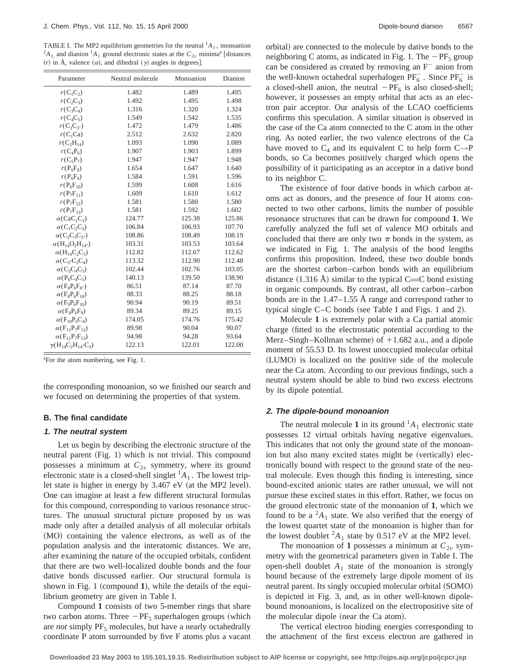TABLE I. The MP2 equilibrium geometries for the neutral <sup>1</sup> $A_1$ , monoanion <sup>2</sup> $A_1$ , and dianion <sup>1</sup> $A_1$  ground electronic states at the  $C_{2v}$  minima<sup>a</sup> [distances  $(r)$  in Å, valence  $(\alpha)$ , and dihedral  $(\gamma)$  angles in degrees].

| Parameter                                                  | Neutral molecule | Monoanion | Dianion |
|------------------------------------------------------------|------------------|-----------|---------|
| $r(C_1C_2)$                                                | 1.482            | 1.489     | 1.495   |
| $r(C_2C_3)$                                                | 1.492            | 1.495     | 1.498   |
| $r(C_3C_4)$                                                | 1.316            | 1.320     | 1.324   |
| $r(C_4C_5)$                                                | 1.549            | 1.542     | 1.535   |
| $r(C_3C_{3'})$                                             | 1.472            | 1.479     | 1.486   |
| $r(C_1Ca)$                                                 | 2.512            | 2.632     | 2.820   |
| $r(C_2H_{14})$                                             | 1.093            | 1.090     | 1.089   |
| $r(C_4P_6)$                                                | 1.907            | 1.903     | 1.899   |
| $r(C_5P_7)$                                                | 1.947            | 1.947     | 1.948   |
| $r(P_6F_8)$                                                | 1.654            | 1.647     | 1.640   |
| $r(P_6F_9)$                                                | 1.584            | 1.591     | 1.596   |
| $r(P_6F_{10})$                                             | 1.599            | 1.608     | 1.616   |
| $r(P_7F_{11})$                                             | 1.609            | 1.610     | 1.612   |
| $r(P_7F_{12})$                                             | 1.581            | 1.580     | 1.580   |
| $r(P_7F_{13})$                                             | 1.581            | 1.592     | 1.602   |
| $\alpha$ (CaC <sub>1</sub> C <sub>2</sub> )                | 124.77           | 125.38    | 125.86  |
| $\alpha$ (C <sub>1</sub> C <sub>2</sub> C <sub>3</sub> )   | 106.84           | 106.93    | 107.70  |
| $\alpha(C_2C_3C_3)$                                        | 108.86           | 108.49    | 108.19  |
| $\alpha(H_{14}O_2H_{14'})$                                 | 103.31           | 103.53    | 103.64  |
| $\alpha(H_{14}C_2C_3)$                                     | 112.82           | 112.67    | 112.62  |
| $\alpha$ (C <sub>3</sub> /C <sub>3</sub> C <sub>4</sub> )  | 113.32           | 112.90    | 112.48  |
| $\alpha$ (C <sub>3</sub> C <sub>4</sub> C <sub>5</sub> )   | 102.44           | 102.76    | 103.05  |
| $\alpha(P_6C_4C_5)$                                        | 140.13           | 139.50    | 138.90  |
| $\alpha(F_8P_6F_8)$                                        | 86.51            | 87.14     | 87.70   |
| $\alpha$ (F <sub>8</sub> P <sub>6</sub> F <sub>10</sub> )  | 88.33            | 88.25     | 88.18   |
| $\alpha(F_9P_6F_{10})$                                     | 90.94            | 90.19     | 89.51   |
| $\alpha(F_8P_6F_9)$                                        | 89.34            | 89.25     | 89.15   |
| $\alpha$ (F <sub>10</sub> P <sub>6</sub> C <sub>4</sub> )  | 174.05           | 174.76    | 175.42  |
| $\alpha(F_{11}P_7F_{12})$                                  | 89.98            | 90.04     | 90.07   |
| $\alpha$ (F <sub>11</sub> P <sub>7</sub> F <sub>13</sub> ) | 94.98            | 94.28     | 93.64   |
| $\gamma(H_{14}C_2H_{14'}C_3)$                              | 122.13           | 122.01    | 122.00  |

<sup>a</sup>For the atom numbering, see Fig. 1.

the corresponding monoanion, so we finished our search and we focused on determining the properties of that system.

#### **B. The final candidate**

# **1. The neutral system**

Let us begin by describing the electronic structure of the neutral parent (Fig. 1) which is not trivial. This compound possesses a minimum at  $C_{2v}$  symmetry, where its ground electronic state is a closed-shell singlet  ${}^{1}A_{1}$ . The lowest triplet state is higher in energy by  $3.467$  eV (at the MP2 level). One can imagine at least a few different structural formulas for this compound, corresponding to various resonance structures. The unusual structural picture proposed by us was made only after a detailed analysis of all molecular orbitals (MO) containing the valence electrons, as well as of the population analysis and the interatomic distances. We are, after examining the nature of the occupied orbitals, confident that there are two well-localized double bonds and the four dative bonds discussed earlier. Our structural formula is shown in Fig. 1 (compound 1), while the details of the equilibrium geometry are given in Table I.

Compound **1** consists of two 5-member rings that share two carbon atoms. Three  $-PF_5$  superhalogen groups (which are *not* simply PF<sub>5</sub> molecules, but have a nearly octahedrally coordinate P atom surrounded by five F atoms plus a vacant orbital) are connected to the molecule by dative bonds to the neighboring C atoms, as indicated in Fig. 1. The  $-PF_5$  group can be considered as created by removing an  $F^-$  anion from the well-known octahedral superhalogen  $PF_6^-$ . Since  $PF_6^-$  is a closed-shell anion, the neutral  $-PF_6$  is also closed-shell; however, it possesses an empty orbital that acts as an electron pair acceptor. Our analysis of the LCAO coefficients confirms this speculation. A similar situation is observed in the case of the Ca atom connected to the C atom in the other ring. As noted earlier, the two valence electrons of the Ca have moved to  $C_4$  and its equivalent C to help form  $C \rightarrow P$ bonds, so Ca becomes positively charged which opens the possibility of it participating as an acceptor in a dative bond to its neighbor C.

The existence of four dative bonds in which carbon atoms act as donors, and the presence of four H atoms connected to two other carbons, limits the number of possible resonance structures that can be drawn for compound **1**. We carefully analyzed the full set of valence MO orbitals and concluded that there are only two  $\pi$  bonds in the system, as we indicated in Fig. 1. The analysis of the bond lengths confirms this proposition. Indeed, these two double bonds are the shortest carbon–carbon bonds with an equilibrium distance  $(1.316 \text{ Å})$  similar to the typical C=C bond existing in organic compounds. By contrast, all other carbon–carbon bonds are in the 1.47–1.55 Å range and correspond rather to typical single  $C-C$  bonds (see Table I and Figs. 1 and 2).

Molecule **1** is extremely polar with a Ca partial atomic charge (fitted to the electrostatic potential according to the Merz–Singh–Kollman scheme) of  $+1.682$  a.u., and a dipole moment of 55.53 D. Its lowest unoccupied molecular orbital (LUMO) is localized on the positive side of the molecule near the Ca atom. According to our previous findings, such a neutral system should be able to bind two excess electrons by its dipole potential.

## **2. The dipole-bound monoanion**

The neutral molecule 1 in its ground  ${}^{1}A_{1}$  electronic state possesses 12 virtual orbitals having negative eigenvalues. This indicates that not only the ground state of the monoanion but also many excited states might be (vertically) electronically bound with respect to the ground state of the neutral molecule. Even though this finding is interesting, since bound-excited anionic states are rather unusual, we will not pursue these excited states in this effort. Rather, we focus on the ground electronic state of the monoanion of **1**, which we found to be a  ${}^{2}A_1$  state. We also verified that the energy of the lowest quartet state of the monoanion is higher than for the lowest doublet  ${}^2A_1$  state by 0.517 eV at the MP2 level.

The monoanion of 1 possesses a minimum at  $C_{2v}$  symmetry with the geometrical parameters given in Table I. The open-shell doublet  $A_1$  state of the monoanion is strongly bound because of the extremely large dipole moment of its neutral parent. Its singly occupied molecular orbital (SOMO) is depicted in Fig. 3, and, as in other well-known dipolebound monoanions, is localized on the electropositive site of the molecular dipole (near the Ca atom).

The vertical electron binding energies corresponding to the attachment of the first excess electron are gathered in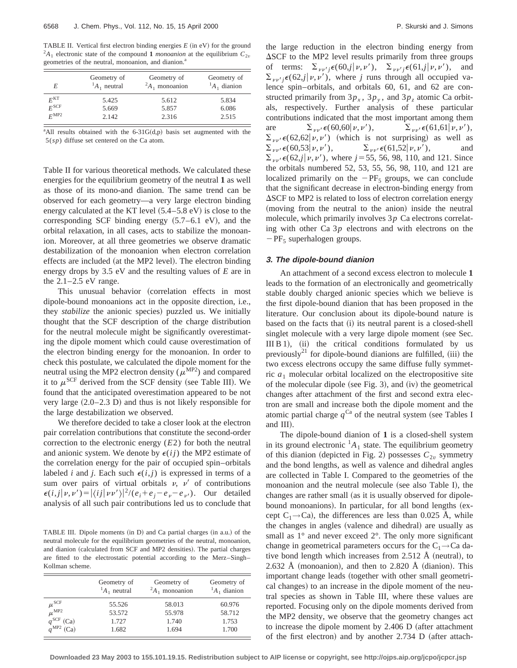TABLE II. Vertical first electron binding energies  $E$  (in eV) for the ground  $^{2}A_{1}$  electronic state of the compound 1 *monoanion* at the equilibrium  $C_{2v}$ geometries of the neutral, monoanion, and dianion.<sup>a</sup>

| E                | Geometry of<br>${}^{1}A_1$ neutral | Geometry of<br>${}^2A_1$ monoanion | Geometry of<br>${}^{1}A_1$ dianion |
|------------------|------------------------------------|------------------------------------|------------------------------------|
| $F^{\rm KT}$     | 5.425                              | 5.612                              | 5.834                              |
| $F^{\rm SCF}$    | 5.669                              | 5.857                              | 6.086                              |
| $F^{\text{MP2}}$ | 2.142                              | 2.316                              | 2.515                              |

<sup>a</sup>All results obtained with the  $6-31G(d,p)$  basis set augmented with the 5(*sp*) diffuse set centered on the Ca atom.

Table II for various theoretical methods. We calculated these energies for the equilibrium geometry of the neutral **1** as well as those of its mono-and dianion. The same trend can be observed for each geometry—a very large electron binding energy calculated at the KT level  $(5.4–5.8 \text{ eV})$  is close to the corresponding SCF binding energy  $(5.7–6.1 \text{ eV})$ , and the orbital relaxation, in all cases, acts to stabilize the monoanion. Moreover, at all three geometries we observe dramatic destabilization of the monoanion when electron correlation effects are included (at the MP2 level). The electron binding energy drops by 3.5 eV and the resulting values of *E* are in the  $2.1-2.5$  eV range.

This unusual behavior (correlation effects in most dipole-bound monoanions act in the opposite direction, i.e., they *stabilize* the anionic species) puzzled us. We initially thought that the SCF description of the charge distribution for the neutral molecule might be significantly overestimating the dipole moment which could cause overestimation of the electron binding energy for the monoanion. In order to check this postulate, we calculated the dipole moment for the neutral using the MP2 electron density ( $\mu^{\text{MP2}}$ ) and compared it to  $\mu^{\text{SCF}}$  derived from the SCF density (see Table III). We found that the anticipated overestimation appeared to be not very large  $(2.0-2.3 \text{ D})$  and thus is not likely responsible for the large destabilization we observed.

We therefore decided to take a closer look at the electron pair correlation contributions that constitute the second-order correction to the electronic energy (*E*2) for both the neutral and anionic system. We denote by  $\epsilon(ij)$  the MP2 estimate of the correlation energy for the pair of occupied spin–orbitals labeled *i* and *j*. Each such  $\epsilon(i, j)$  is expressed in terms of a sum over pairs of virtual orbitals  $v$ ,  $v'$  of contributions  $\epsilon(i, j | \nu, \nu') = |\langle ij | \nu \nu' \rangle|^2 / (e_i + e_j - e_{\nu} - e_{\nu'})$ . Our detailed analysis of all such pair contributions led us to conclude that

TABLE III. Dipole moments  $(in D)$  and Ca partial charges  $(in a.u.)$  of the neutral molecule for the equilibrium geometries of the neutral, monoanion, and dianion (calculated from SCF and MP2 densities). The partial charges are fitted to the electrostatic potential according to the Merz–Singh– Kollman scheme.

|                    | Geometry of<br>${}^{1}A_{1}$ neutral | Geometry of<br>${}^2A_1$ monoanion | Geometry of<br>${}^{1}A_1$ dianion |
|--------------------|--------------------------------------|------------------------------------|------------------------------------|
| $\mu^{\rm SCF}$    | 55.526                               | 58.013                             | 60.976                             |
| $\mu^{\text{MP2}}$ | 53.572                               | 55.978                             | 58.712                             |
| (Ca)               | 1.727                                | 1.740                              | 1.753                              |
| $q^{MP2}$ (Ca)     | 1.682                                | 1.694                              | 1.700                              |

the large reduction in the electron binding energy from  $\Delta$ SCF to the MP2 level results primarily from three groups of terms:  $\sum_{\nu \nu' \in \mathcal{F}} \epsilon(60,j|\nu,\nu'), \sum_{\nu \nu' \in \mathcal{F}} \epsilon(61,j|\nu,\nu'),$  and  $\sum_{\nu \nu'} \epsilon(62j|\nu,\nu')$ , where *j* runs through all occupied valence spin–orbitals, and orbitals 60, 61, and 62 are constructed primarily from  $3p_x$ ,  $3p_y$ , and  $3p_z$  atomic Ca orbitals, respectively. Further analysis of these particular contributions indicated that the most important among them are  $\sum_{\nu \nu'} \epsilon(60, 60 | \nu, \nu'), \qquad \sum_{\nu \nu'}$  $\sum_{\nu\nu'} \epsilon(61,61|\nu,\nu'),$  $\sum_{\nu,\nu'} \epsilon(62,62|\nu,\nu')$  (which is not surprising) as well as  $\sum_{\nu \nu'} \epsilon(60,53|\nu,\nu')$ ,  $\sum_{\nu \nu'}$  $\sum_{\nu,\nu'} \epsilon(61,52|\nu,\nu'),$  and  $\sum_{\nu \nu'} \epsilon(62, j|\nu, \nu')$ , where *j* = 55, 56, 98, 110, and 121. Since the orbitals numbered 52, 53, 55, 56, 98, 110, and 121 are localized primarily on the  $-PF_5$  groups, we can conclude that the significant decrease in electron-binding energy from  $\Delta$ SCF to MP2 is related to loss of electron correlation energy (moving from the neutral to the anion) inside the neutral molecule, which primarily involves 3*p* Ca electrons correlating with other Ca 3*p* electrons and with electrons on the  $-PF_5$  superhalogen groups.

#### **3. The dipole-bound dianion**

An attachment of a second excess electron to molecule **1** leads to the formation of an electronically and geometrically stable doubly charged anionic species which we believe is the first dipole-bound dianion that has been proposed in the literature. Our conclusion about its dipole-bound nature is based on the facts that (i) its neutral parent is a closed-shell singlet molecule with a very large dipole moment (see Sec. III B 1), (ii) the critical conditions formulated by us previously<sup>21</sup> for dipole-bound dianions are fulfilled, (iii) the two excess electrons occupy the same diffuse fully symmetric  $a_1$  molecular orbital localized on the electropositive site of the molecular dipole (see Fig. 3), and  $(iv)$  the geometrical changes after attachment of the first and second extra electron are small and increase both the dipole moment and the atomic partial charge  $q^{Ca}$  of the neutral system (see Tables I and III).

The dipole-bound dianion of **1** is a closed-shell system in its ground electronic  ${}^{1}A_1$  state. The equilibrium geometry of this dianion (depicted in Fig. 2) possesses  $C_{2v}$  symmetry and the bond lengths, as well as valence and dihedral angles are collected in Table I. Compared to the geometries of the monoanion and the neutral molecule (see also Table I), the changes are rather small (as it is usually observed for dipolebound monoanions). In particular, for all bond lengths (except  $C_1 \rightarrow C_2$ , the differences are less than 0.025 Å, while the changes in angles (valence and dihedral) are usually as small as  $1^\circ$  and never exceed  $2^\circ$ . The only more significant change in geometrical parameters occurs for the  $C_1 \rightarrow C$ a dative bond length which increases from 2.512  $\AA$  (neutral), to 2.632 Å (monoanion), and then to 2.820 Å (dianion). This important change leads (together with other small geometrical changes) to an increase in the dipole moment of the neutral species as shown in Table III, where these values are reported. Focusing only on the dipole moments derived from the MP2 density, we observe that the geometry changes act to increase the dipole moment by  $2.406$  D (after attachment of the first electron) and by another  $2.734$  D (after attach-

**Downloaded 23 May 2003 to 155.101.19.15. Redistribution subject to AIP license or copyright, see http://ojps.aip.org/jcpo/jcpcr.jsp**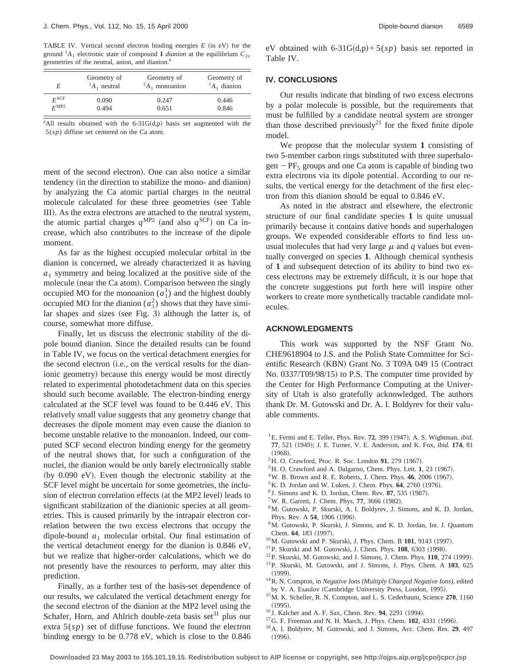TABLE IV. Vertical second electron binding energies  $E$  (in eV) for the ground  $^{1}A_{1}$  electronic state of compound 1 *dianion* at the equilibrium  $C_{2v}$ geometries of the neutral, anion, and dianion.<sup>a</sup>

| E                | Geometry of         | Geometry of         | Geometry of         |
|------------------|---------------------|---------------------|---------------------|
|                  | ${}^{1}A_1$ neutral | ${}^2A_1$ monoanion | ${}^{1}A_1$ dianion |
| $F^{\rm SCF}$    | 0.090               | 0.247               | 0.446               |
| $F^{\text{MP2}}$ | 0.494               | 0.651               | 0.846               |

 $a$ All results obtained with the 6-31G $(d,p)$  basis set augmented with the 5(*sp*) diffuse set centered on the Ca atom.

ment of the second electron). One can also notice a similar tendency (in the direction to stabilize the mono- and dianion) by analyzing the Ca atomic partial charges in the neutral molecule calculated for these three geometries (see Table III). As the extra electrons are attached to the neutral system, the atomic partial charges  $q^{MP2}$  (and also  $q^{SCF}$ ) on Ca increase, which also contributes to the increase of the dipole moment.

As far as the highest occupied molecular orbital in the dianion is concerned, we already characterized it as having  $a_1$  symmetry and being localized at the positive side of the molecule (near the Ca atom). Comparison between the singly occupied MO for the monoanion  $(a_1)$  and the highest doubly occupied MO for the dianion  $(a_1^2)$  shows that they have similar shapes and sizes (see Fig. 3) although the latter is, of course, somewhat more diffuse.

Finally, let us discuss the electronic stability of the dipole bound dianion. Since the detailed results can be found in Table IV, we focus on the vertical detachment energies for the second electron (i.e., on the vertical results for the dianionic geometry) because this energy would be most directly related to experimental photodetachment data on this species should such become available. The electron-binding energy calculated at the SCF level was found to be 0.446 eV. This relatively small value suggests that any geometry change that decreases the dipole moment may even cause the dianion to become unstable relative to the monoanion. Indeed, our computed SCF second electron binding energy for the geometry of the neutral shows that, for such a configuration of the nuclei, the dianion would be only barely electronically stable (by  $0.090$  eV). Even though the electronic stability at the SCF level might be uncertain for some geometries, the inclusion of electron correlation effects (at the MP2 level) leads to significant stabilization of the dianionic species at all geometries. This is caused primarily by the intrapair electron correlation between the two excess electrons that occupy the dipole-bound  $a_1$  molecular orbital. Our final estimation of the vertical detachment energy for the dianion is 0.846 eV, but we realize that higher-order calculations, which we do not presently have the resources to perform, may alter this prediction.

eV obtained with 6-31G $(d,p)$ +5(*sp*) basis set reported in Table IV.

# **IV. CONCLUSIONS**

Our results indicate that binding of two excess electrons by a polar molecule is possible, but the requirements that must be fulfilled by a candidate neutral system are stronger than those described previously<sup>21</sup> for the fixed finite dipole model.

We propose that the molecular system **1** consisting of two 5-member carbon rings substituted with three superhalogen  $-PF_5$  groups and one Ca atom is capable of binding two extra electrons via its dipole potential. According to our results, the vertical energy for the detachment of the first electron from this dianion should be equal to 0.846 eV.

As noted in the abstract and elsewhere, the electronic structure of our final candidate species **1** is quite unusual primarily because it contains dative bonds and superhalogen groups. We expended considerable efforts to find less unusual molecules that had very large  $\mu$  and  $q$  values but eventually converged on species **1**. Although chemical synthesis of **1** and subsequent detection of its ability to bind two excess electrons may be extremely difficult, it is our hope that the concrete suggestions put forth here will inspire other workers to create more synthetically tractable candidate molecules.

## **ACKNOWLEDGMENTS**

This work was supported by the NSF Grant No. CHE9618904 to J.S. and the Polish State Committee for Scientific Research (KBN) Grant No. 3 T09A 049 15 (Contract No. 0337/T09/98/15) to P.S. The computer time provided by the Center for High Performance Computing at the University of Utah is also gratefully acknowledged. The authors thank Dr. M. Gutowski and Dr. A. I. Boldyrev for their valuable comments.

- ${}^{1}$ E. Fermi and E. Teller, Phys. Rev. **72**, 399  $(1947)$ ; A. S. Wightman, *ibid.* **77**, 521 (1949); J. E. Turner, V. E. Anderson, and K. Fox, *ibid.* **174**, 81
- $(1968).$
- $^{2}$ H. O. Crawford, Proc. R. Soc. London 91, 279 (1967).
- $3$ H. O. Crawford and A. Dalgarno, Chem. Phys. Lett. 1, 23  $(1967)$ .
- $4$ W. B. Brown and R. E. Roberts, J. Chem. Phys.  $46$ , 2006 (1967).
- $5$ K. D. Jordan and W. Luken, J. Chem. Phys.  $64$ , 2760  $(1976)$ .
- <sup>6</sup> J. Simons and K. D. Jordan, Chem. Rev. 87, 535 (1987).
- $7^7$ W. R. Garrett, J. Chem. Phys. **77**, 3666 (1982).
- 8M. Gutowski, P. Skurski, A. I. Boldyrev, J. Simons, and K. D. Jordan, Phys. Rev. A **54**, 1906 (1996).
- <sup>9</sup>M. Gutowski, P. Skurski, J. Simons, and K. D. Jordan, Int. J. Quantum Chem. **64**, 183 (1997).
- <sup>10</sup>M. Gutowski and P. Skurski, J. Phys. Chem. B **101**, 9143 (1997).
- <sup>11</sup>P. Skurski and M. Gutowski, J. Chem. Phys. **108**, 6303 (1998).
- $12$ P. Skurski, M. Gutowski, and J. Simons, J. Chem. Phys.  $110$ ,  $274$  (1999). 13P. Skurski, M. Gutowski, and J. Simons, J. Phys. Chem. A **103**, 625
- $(1999)$ . 14R. N. Compton, in *Negative Ions (Multiply Charged Negative Ions)*, edited
- by V. A. Esaulov (Cambridge University Press, London, 1995).
- 15M. K. Scheller, R. N. Compton, and L. S. Cederbaum, Science **270**, 1160  $(1995).$
- <sup>16</sup> J. Kalcher and A. F. Sax, Chem. Rev. **94**, 2291 (1994).
- <sup>17</sup> G. F. Freeman and N. H. March, J. Phys. Chem. **102**, 4331 (1996).
- 18A. I. Boldyrev, M. Gutowski, and J. Simons, Acc. Chem. Res. **29**, 497  $(1996).$

Finally, as a further test of the basis-set dependence of our results, we calculated the vertical detachment energy for the second electron of the dianion at the MP2 level using the Schafer, Horn, and Ahlrich double-zeta basis set $31$  plus our extra 5(*sp*) set of diffuse functions. We found the electron binding energy to be 0.778 eV, which is close to the 0.846